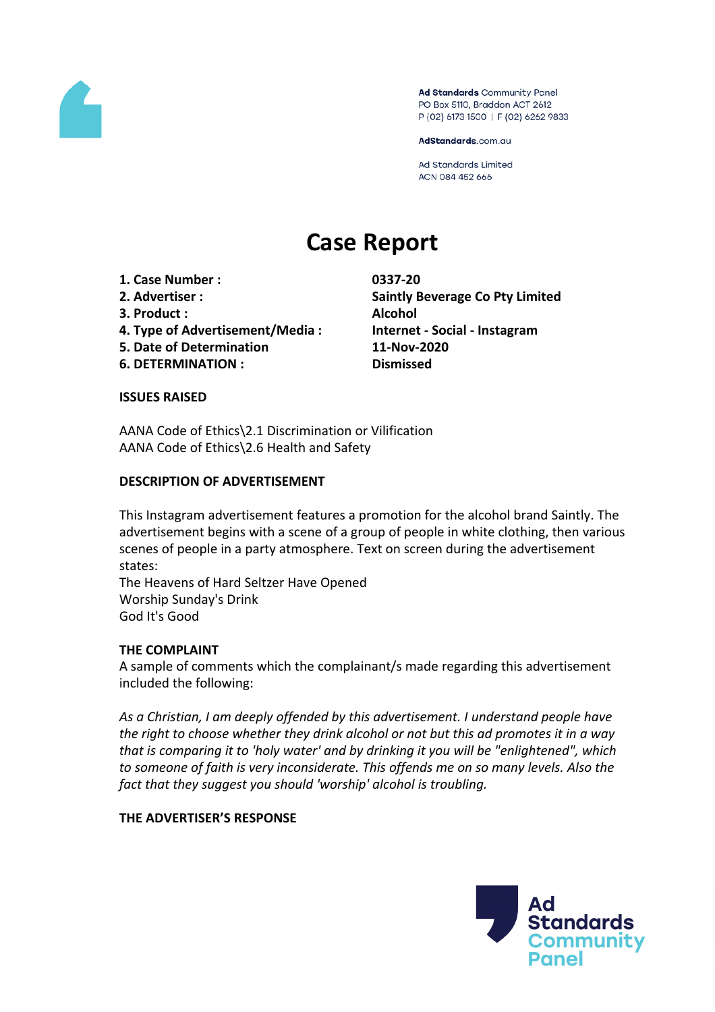

Ad Standards Community Panel PO Box 5110, Braddon ACT 2612 P (02) 6173 1500 | F (02) 6262 9833

AdStandards.com.au

**Ad Standards Limited** ACN 084 452 666

# **Case Report**

- **1. Case Number : 0337-20**
- 
- **3. Product : Alcohol**
- **4. Type of Advertisement/Media : Internet - Social - Instagram**
- **5. Date of Determination 11-Nov-2020**
- **6. DETERMINATION : Dismissed**

**2. Advertiser : Saintly Beverage Co Pty Limited**

## **ISSUES RAISED**

AANA Code of Ethics\2.1 Discrimination or Vilification AANA Code of Ethics\2.6 Health and Safety

## **DESCRIPTION OF ADVERTISEMENT**

This Instagram advertisement features a promotion for the alcohol brand Saintly. The advertisement begins with a scene of a group of people in white clothing, then various scenes of people in a party atmosphere. Text on screen during the advertisement states:

The Heavens of Hard Seltzer Have Opened Worship Sunday's Drink God It's Good

## **THE COMPLAINT**

A sample of comments which the complainant/s made regarding this advertisement included the following:

*As a Christian, I am deeply offended by this advertisement. I understand people have the right to choose whether they drink alcohol or not but this ad promotes it in a way that is comparing it to 'holy water' and by drinking it you will be "enlightened", which to someone of faith is very inconsiderate. This offends me on so many levels. Also the fact that they suggest you should 'worship' alcohol is troubling.*

## **THE ADVERTISER'S RESPONSE**

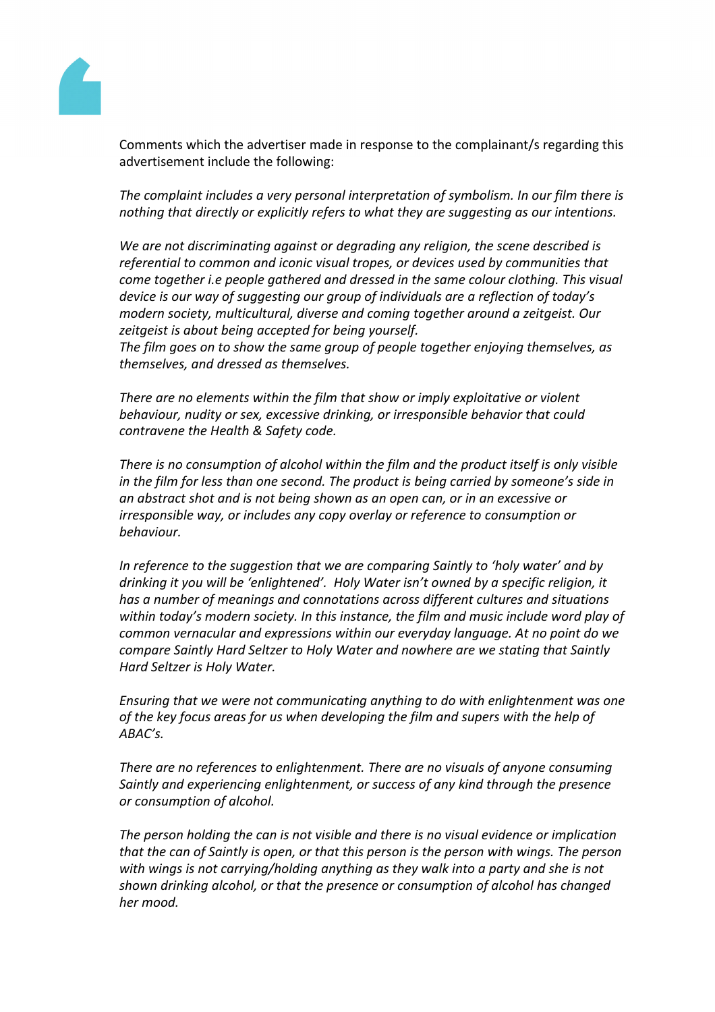

Comments which the advertiser made in response to the complainant/s regarding this advertisement include the following:

*The complaint includes a very personal interpretation of symbolism. In our film there is nothing that directly or explicitly refers to what they are suggesting as our intentions.* 

*We are not discriminating against or degrading any religion, the scene described is referential to common and iconic visual tropes, or devices used by communities that come together i.e people gathered and dressed in the same colour clothing. This visual device is our way of suggesting our group of individuals are a reflection of today's modern society, multicultural, diverse and coming together around a zeitgeist. Our zeitgeist is about being accepted for being yourself.*

*The film goes on to show the same group of people together enjoying themselves, as themselves, and dressed as themselves.*

*There are no elements within the film that show or imply exploitative or violent behaviour, nudity or sex, excessive drinking, or irresponsible behavior that could contravene the Health & Safety code.*

*There is no consumption of alcohol within the film and the product itself is only visible in the film for less than one second. The product is being carried by someone's side in an abstract shot and is not being shown as an open can, or in an excessive or irresponsible way, or includes any copy overlay or reference to consumption or behaviour.*

*In reference to the suggestion that we are comparing Saintly to 'holy water' and by drinking it you will be 'enlightened'. Holy Water isn't owned by a specific religion, it has a number of meanings and connotations across different cultures and situations within today's modern society. In this instance, the film and music include word play of common vernacular and expressions within our everyday language. At no point do we compare Saintly Hard Seltzer to Holy Water and nowhere are we stating that Saintly Hard Seltzer is Holy Water.*

*Ensuring that we were not communicating anything to do with enlightenment was one of the key focus areas for us when developing the film and supers with the help of ABAC's.*

*There are no references to enlightenment. There are no visuals of anyone consuming Saintly and experiencing enlightenment, or success of any kind through the presence or consumption of alcohol.* 

*The person holding the can is not visible and there is no visual evidence or implication that the can of Saintly is open, or that this person is the person with wings. The person with wings is not carrying/holding anything as they walk into a party and she is not shown drinking alcohol, or that the presence or consumption of alcohol has changed her mood.*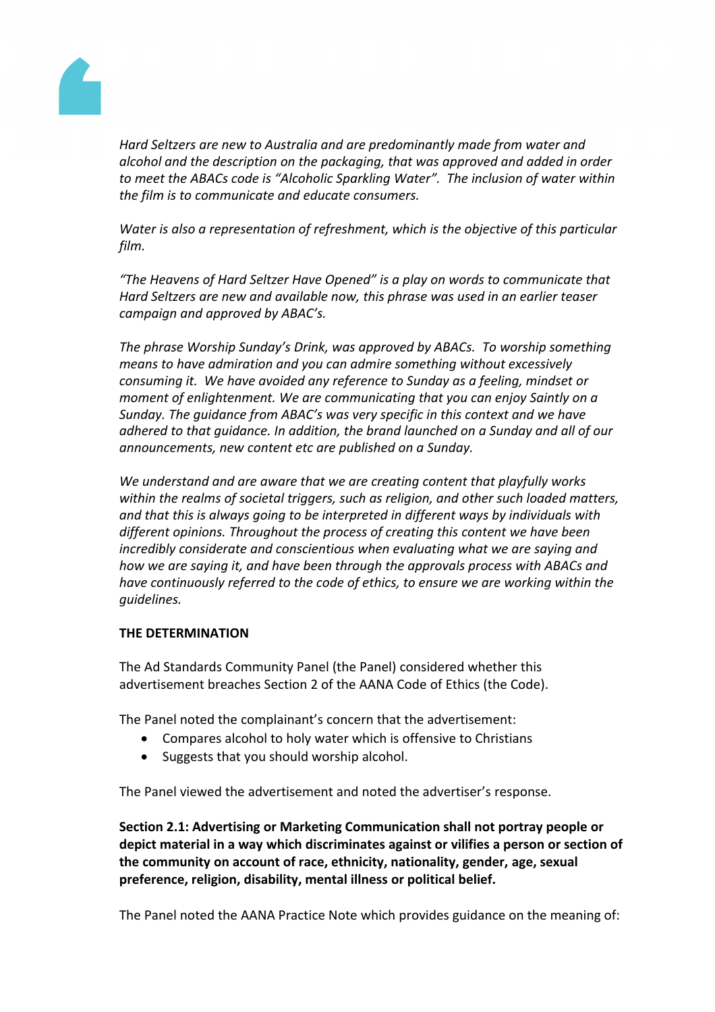

*Hard Seltzers are new to Australia and are predominantly made from water and alcohol and the description on the packaging, that was approved and added in order to meet the ABACs code is "Alcoholic Sparkling Water". The inclusion of water within the film is to communicate and educate consumers.*

*Water is also a representation of refreshment, which is the objective of this particular film.*

*"The Heavens of Hard Seltzer Have Opened" is a play on words to communicate that Hard Seltzers are new and available now, this phrase was used in an earlier teaser campaign and approved by ABAC's.*

*The phrase Worship Sunday's Drink, was approved by ABACs. To worship something means to have admiration and you can admire something without excessively consuming it. We have avoided any reference to Sunday as a feeling, mindset or moment of enlightenment. We are communicating that you can enjoy Saintly on a Sunday. The guidance from ABAC's was very specific in this context and we have adhered to that guidance. In addition, the brand launched on a Sunday and all of our announcements, new content etc are published on a Sunday.*

*We understand and are aware that we are creating content that playfully works within the realms of societal triggers, such as religion, and other such loaded matters, and that this is always going to be interpreted in different ways by individuals with different opinions. Throughout the process of creating this content we have been incredibly considerate and conscientious when evaluating what we are saying and how we are saying it, and have been through the approvals process with ABACs and have continuously referred to the code of ethics, to ensure we are working within the guidelines.*

## **THE DETERMINATION**

The Ad Standards Community Panel (the Panel) considered whether this advertisement breaches Section 2 of the AANA Code of Ethics (the Code).

The Panel noted the complainant's concern that the advertisement:

- Compares alcohol to holy water which is offensive to Christians
- Suggests that you should worship alcohol.

The Panel viewed the advertisement and noted the advertiser's response.

**Section 2.1: Advertising or Marketing Communication shall not portray people or depict material in a way which discriminates against or vilifies a person or section of the community on account of race, ethnicity, nationality, gender, age, sexual preference, religion, disability, mental illness or political belief.**

The Panel noted the AANA Practice Note which provides guidance on the meaning of: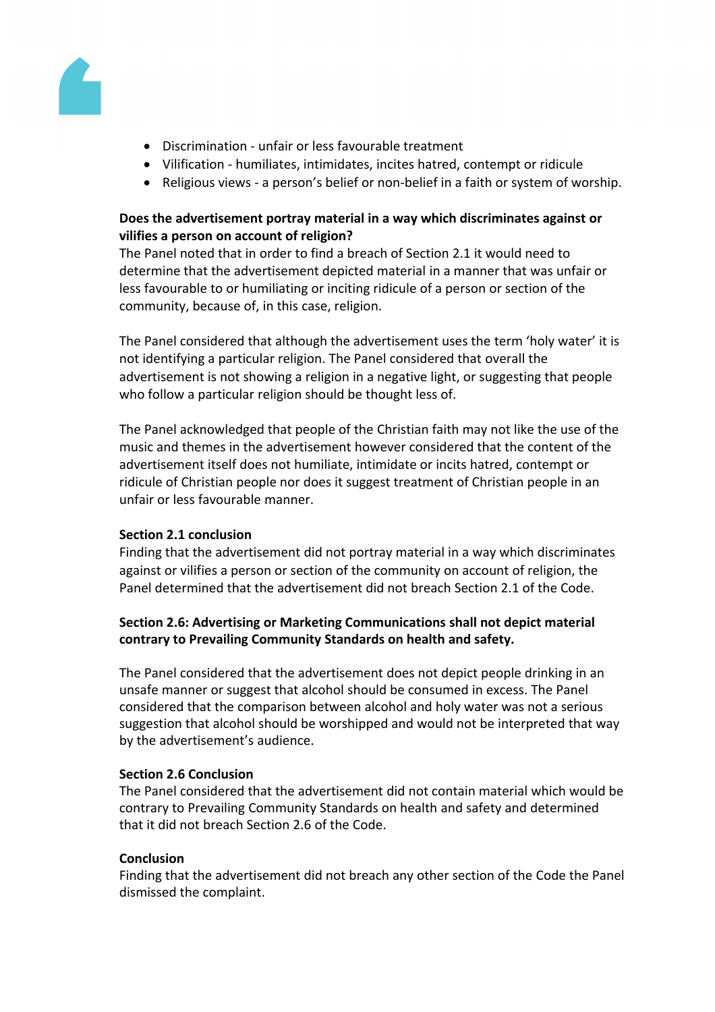

- Discrimination unfair or less favourable treatment
- Vilification humiliates, intimidates, incites hatred, contempt or ridicule
- Religious views a person's belief or non-belief in a faith or system of worship.

## **Does the advertisement portray material in a way which discriminates against or vilifies a person on account of religion?**

The Panel noted that in order to find a breach of Section 2.1 it would need to determine that the advertisement depicted material in a manner that was unfair or less favourable to or humiliating or inciting ridicule of a person or section of the community, because of, in this case, religion.

The Panel considered that although the advertisement uses the term 'holy water' it is not identifying a particular religion. The Panel considered that overall the advertisement is not showing a religion in a negative light, or suggesting that people who follow a particular religion should be thought less of.

The Panel acknowledged that people of the Christian faith may not like the use of the music and themes in the advertisement however considered that the content of the advertisement itself does not humiliate, intimidate or incits hatred, contempt or ridicule of Christian people nor does it suggest treatment of Christian people in an unfair or less favourable manner.

## **Section 2.1 conclusion**

Finding that the advertisement did not portray material in a way which discriminates against or vilifies a person or section of the community on account of religion, the Panel determined that the advertisement did not breach Section 2.1 of the Code.

## **Section 2.6: Advertising or Marketing Communications shall not depict material contrary to Prevailing Community Standards on health and safety.**

The Panel considered that the advertisement does not depict people drinking in an unsafe manner or suggest that alcohol should be consumed in excess. The Panel considered that the comparison between alcohol and holy water was not a serious suggestion that alcohol should be worshipped and would not be interpreted that way by the advertisement's audience.

## **Section 2.6 Conclusion**

The Panel considered that the advertisement did not contain material which would be contrary to Prevailing Community Standards on health and safety and determined that it did not breach Section 2.6 of the Code.

## **Conclusion**

Finding that the advertisement did not breach any other section of the Code the Panel dismissed the complaint.